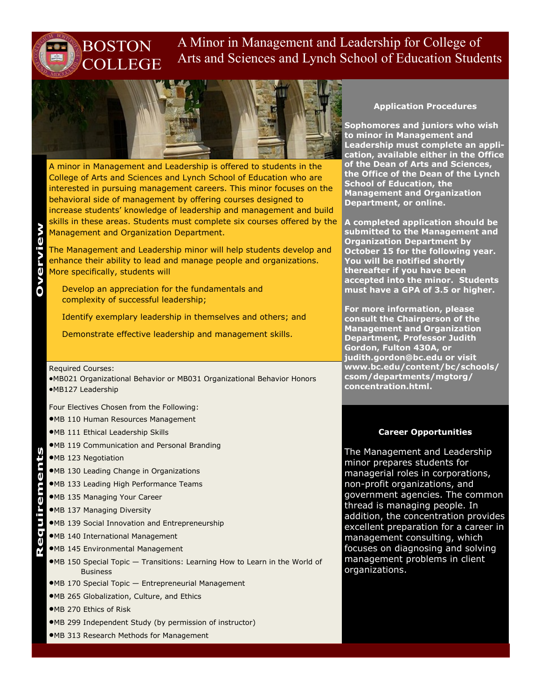# A Minor in Management and Leadership for College of Arts and Sciences and Lynch School of Education Students



A minor in Management and Leadership is offered to students in the College of Arts and Sciences and Lynch School of Education who are interested in pursuing management careers. This minor focuses on the behavioral side of management by offering courses designed to increase students' knowledge of leadership and management and build skills in these areas. Students must complete six courses offered by the Management and Organization Department.

The Management and Leadership minor will help students develop and enhance their ability to lead and manage people and organizations. More specifically, students will

Develop an appreciation for the fundamentals and complexity of successful leadership;

Identify exemplary leadership in themselves and others; and

Demonstrate effective leadership and management skills.

#### Required Courses:

MB021 Organizational Behavior or MB031 Organizational Behavior Honors MB127 Leadership

Four Electives Chosen from the Following:

MB 110 Human Resources Management

BOSTON

**COLLEGE** 

MB 111 Ethical Leadership Skills

- MB 119 Communication and Personal Branding
- MB 123 Negotiation
- MB 130 Leading Change in Organizations
- MB 133 Leading High Performance Teams
- MB 135 Managing Your Career
- MB 137 Managing Diversity
- MB 139 Social Innovation and Entrepreneurship **Requirements**
	- MB 140 International Management
	- MB 145 Environmental Management
	- MB 150 Special Topic Transitions: Learning How to Learn in the World of Business
	- MB 170 Special Topic Entrepreneurial Management
	- MB 265 Globalization, Culture, and Ethics
	- MB 270 Ethics of Risk
	- MB 299 Independent Study (by permission of instructor)
	- MB 313 Research Methods for Management

### **Application Procedures**

**Sophomores and juniors who wish to minor in Management and Leadership must complete an application, available either in the Office of the Dean of Arts and Sciences, the Office of the Dean of the Lynch School of Education, the Management and Organization Department, or online.** 

**A completed application should be submitted to the Management and Organization Department by October 15 for the following year. You will be notified shortly thereafter if you have been accepted into the minor. Students must have a GPA of 3.5 or higher.**

**For more information, please consult the Chairperson of the Management and Organization Department, Professor Judith Gordon, Fulton 430A, or judith.gordon@bc.edu or visit www.bc.edu/content/bc/schools/ csom/departments/mgtorg/ concentration.html.**

### **Career Opportunities**

The Management and Leadership minor prepares students for managerial roles in corporations, non-profit organizations, and government agencies. The common thread is managing people. In addition, the concentration provides excellent preparation for a career in management consulting, which focuses on diagnosing and solving management problems in client organizations.

**Overview**

ents

Regurem